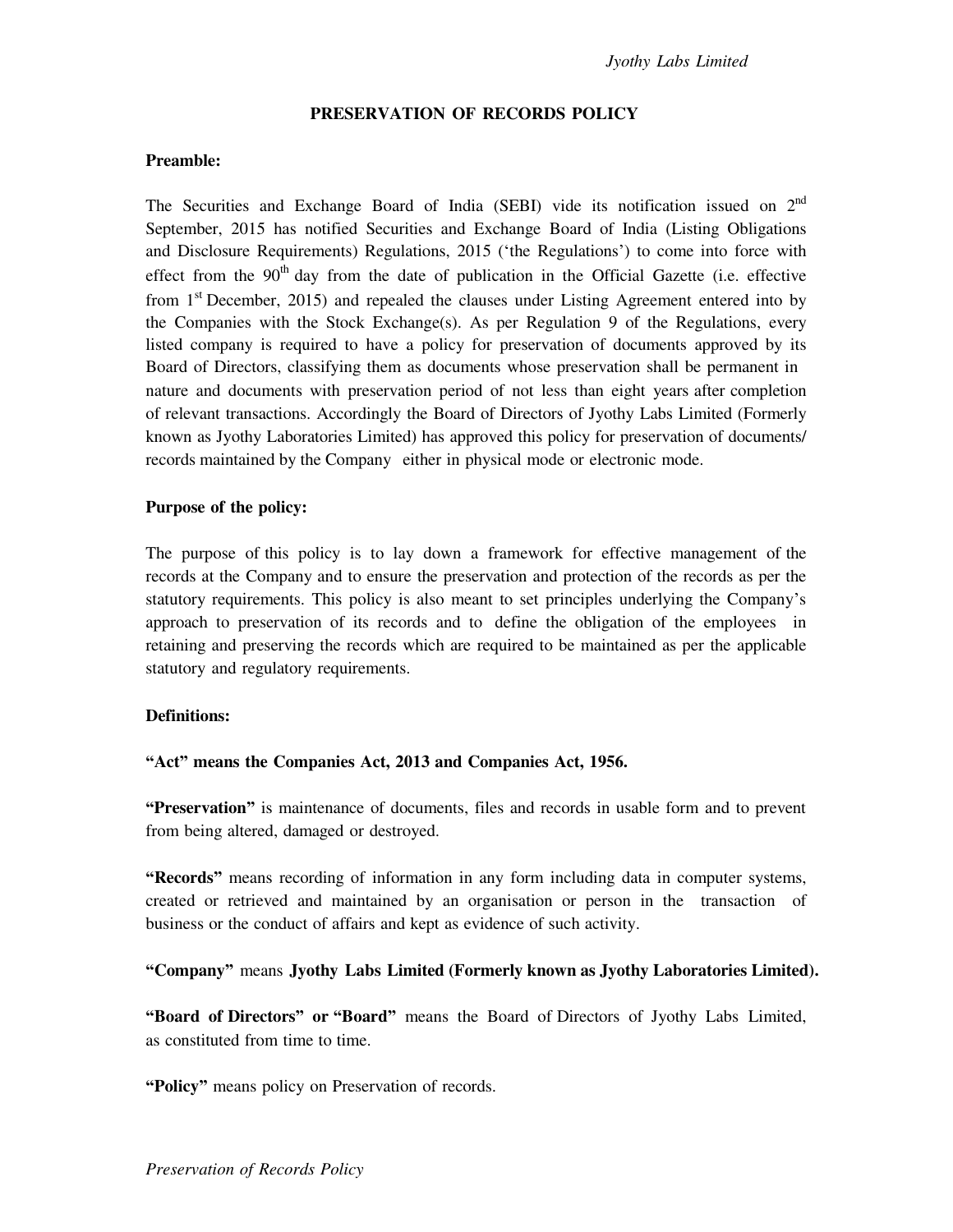#### **PRESERVATION OF RECORDS POLICY**

#### **Preamble:**

The Securities and Exchange Board of India (SEBI) vide its notification issued on 2<sup>nd</sup> September, 2015 has notified Securities and Exchange Board of India (Listing Obligations and Disclosure Requirements) Regulations, 2015 ('the Regulations') to come into force with effect from the  $90<sup>th</sup>$  day from the date of publication in the Official Gazette (i.e. effective from  $1<sup>st</sup>$  December, 2015) and repealed the clauses under Listing Agreement entered into by the Companies with the Stock Exchange(s). As per Regulation 9 of the Regulations, every listed company is required to have a policy for preservation of documents approved by its Board of Directors, classifying them as documents whose preservation shall be permanent in nature and documents with preservation period of not less than eight years after completion of relevant transactions. Accordingly the Board of Directors of Jyothy Labs Limited (Formerly known as Jyothy Laboratories Limited) has approved this policy for preservation of documents/ records maintained by the Company either in physical mode or electronic mode.

#### **Purpose of the policy:**

The purpose of this policy is to lay down a framework for effective management of the records at the Company and to ensure the preservation and protection of the records as per the statutory requirements. This policy is also meant to set principles underlying the Company's approach to preservation of its records and to define the obligation of the employees in retaining and preserving the records which are required to be maintained as per the applicable statutory and regulatory requirements.

## **Definitions:**

# **"Act" means the Companies Act, 2013 and Companies Act, 1956.**

**"Preservation"** is maintenance of documents, files and records in usable form and to prevent from being altered, damaged or destroyed.

**"Records"** means recording of information in any form including data in computer systems, created or retrieved and maintained by an organisation or person in the transaction of business or the conduct of affairs and kept as evidence of such activity.

## **"Company"** means **Jyothy Labs Limited (Formerly known as Jyothy Laboratories Limited).**

**"Board of Directors" or "Board"** means the Board of Directors of Jyothy Labs Limited, as constituted from time to time.

**"Policy"** means policy on Preservation of records.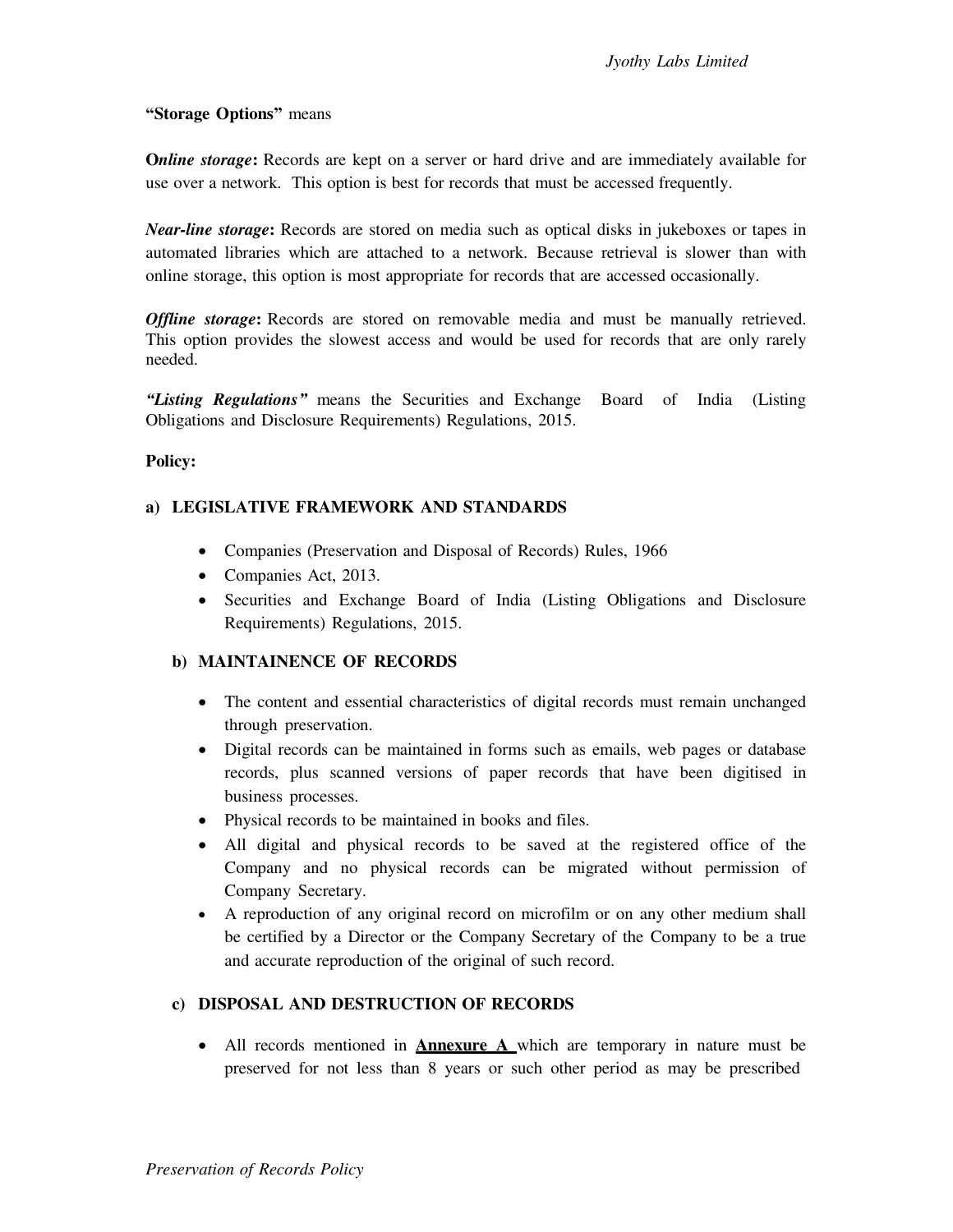## **"Storage Options"** means

**Online storage:** Records are kept on a server or hard drive and are immediately available for use over a network. This option is best for records that must be accessed frequently.

*Near-line storage***:** Records are stored on media such as optical disks in jukeboxes or tapes in automated libraries which are attached to a network. Because retrieval is slower than with online storage, this option is most appropriate for records that are accessed occasionally.

*Offline storage*: Records are stored on removable media and must be manually retrieved. This option provides the slowest access and would be used for records that are only rarely needed.

*"Listing Regulations"* means the Securities and Exchange Board of India (Listing Obligations and Disclosure Requirements) Regulations, 2015.

## **Policy:**

## **a) LEGISLATIVE FRAMEWORK AND STANDARDS**

- Companies (Preservation and Disposal of Records) Rules, 1966
- Companies Act, 2013.
- Securities and Exchange Board of India (Listing Obligations and Disclosure Requirements) Regulations, 2015.

## **b) MAINTAINENCE OF RECORDS**

- The content and essential characteristics of digital records must remain unchanged through preservation.
- Digital records can be maintained in forms such as emails, web pages or database records, plus scanned versions of paper records that have been digitised in business processes.
- Physical records to be maintained in books and files.
- All digital and physical records to be saved at the registered office of the Company and no physical records can be migrated without permission of Company Secretary.
- A reproduction of any original record on microfilm or on any other medium shall be certified by a Director or the Company Secretary of the Company to be a true and accurate reproduction of the original of such record.

# **c) DISPOSAL AND DESTRUCTION OF RECORDS**

 All records mentioned in **Annexure A** which are temporary in nature must be preserved for not less than 8 years or such other period as may be prescribed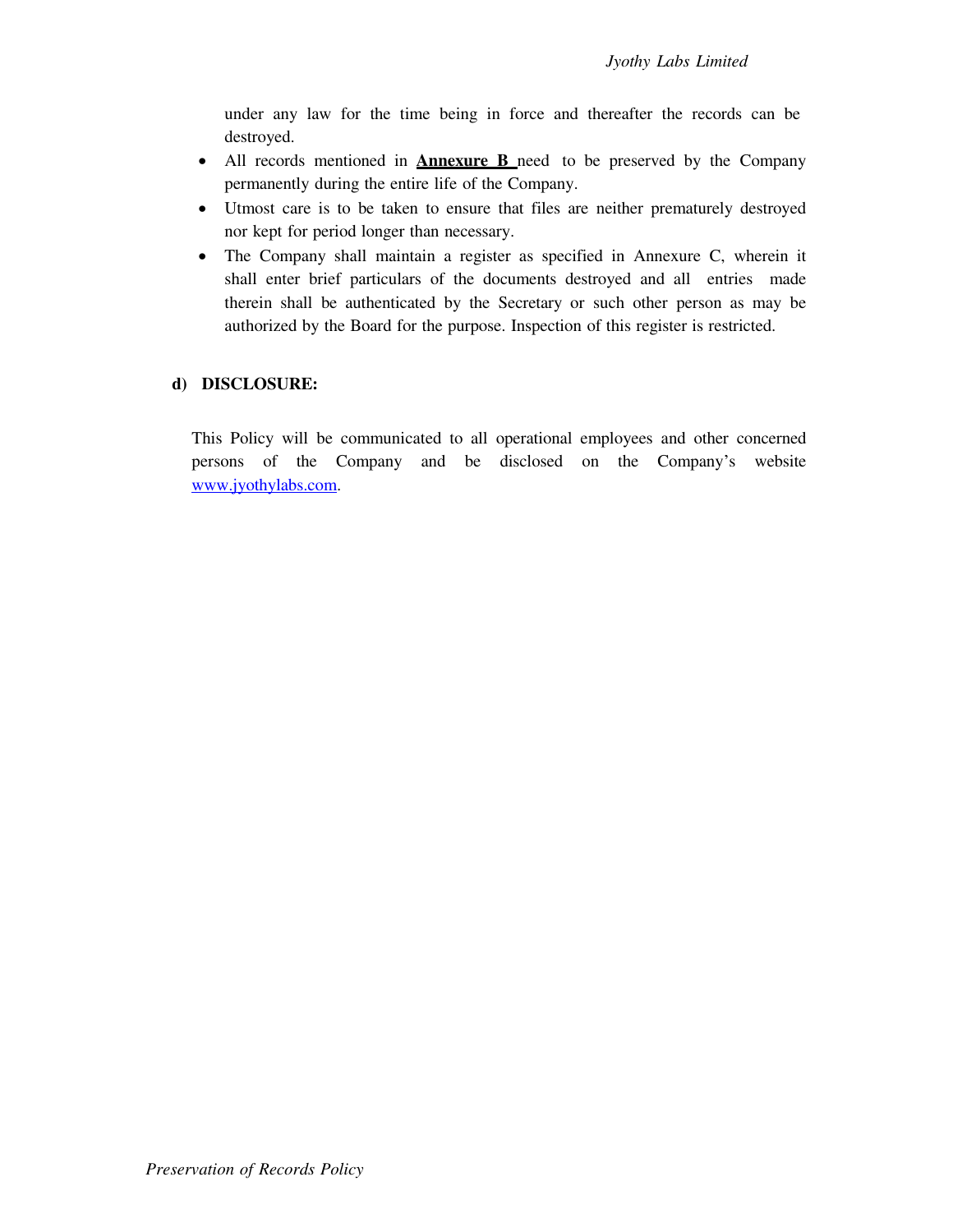under any law for the time being in force and thereafter the records can be destroyed.

- All records mentioned in **Annexure B** need to be preserved by the Company permanently during the entire life of the Company.
- Utmost care is to be taken to ensure that files are neither prematurely destroyed nor kept for period longer than necessary.
- The Company shall maintain a register as specified in Annexure C, wherein it shall enter brief particulars of the documents destroyed and all entries made therein shall be authenticated by the Secretary or such other person as may be authorized by the Board for the purpose. Inspection of this register is restricted.

# **d) DISCLOSURE:**

This Policy will be communicated to all operational employees and other concerned persons of the Company and be disclosed on the Company's website [www.jyothylabs.com.](http://www.jyothylaboratories.com/)